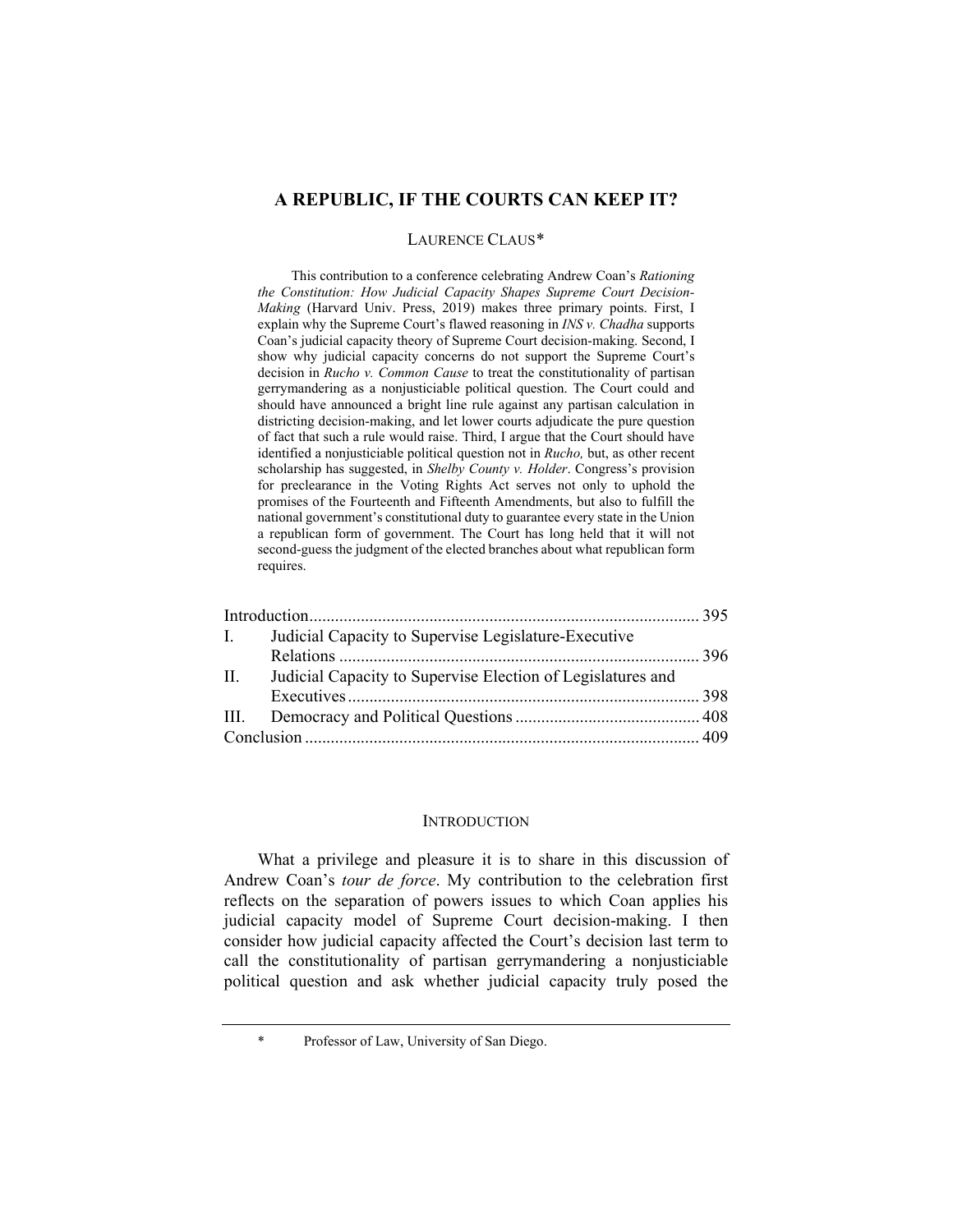# **A REPUBLIC, IF THE COURTS CAN KEEP IT?**

#### LAURENCE CLAUS[\\*](#page-0-0)

This contribution to a conference celebrating Andrew Coan's *Rationing the Constitution: How Judicial Capacity Shapes Supreme Court Decision-Making* (Harvard Univ. Press, 2019) makes three primary points. First, I explain why the Supreme Court's flawed reasoning in *INS v. Chadha* supports Coan's judicial capacity theory of Supreme Court decision-making. Second, I show why judicial capacity concerns do not support the Supreme Court's decision in *Rucho v. Common Cause* to treat the constitutionality of partisan gerrymandering as a nonjusticiable political question. The Court could and should have announced a bright line rule against any partisan calculation in districting decision-making, and let lower courts adjudicate the pure question of fact that such a rule would raise. Third, I argue that the Court should have identified a nonjusticiable political question not in *Rucho,* but, as other recent scholarship has suggested, in *Shelby County v. Holder*. Congress's provision for preclearance in the Voting Rights Act serves not only to uphold the promises of the Fourteenth and Fifteenth Amendments, but also to fulfill the national government's constitutional duty to guarantee every state in the Union a republican form of government. The Court has long held that it will not second-guess the judgment of the elected branches about what republican form requires.

| $\mathbf{I}$ . | Judicial Capacity to Supervise Legislature-Executive        |  |
|----------------|-------------------------------------------------------------|--|
|                |                                                             |  |
| II.            | Judicial Capacity to Supervise Election of Legislatures and |  |
|                |                                                             |  |
|                |                                                             |  |
|                |                                                             |  |
|                |                                                             |  |

#### **INTRODUCTION**

What a privilege and pleasure it is to share in this discussion of Andrew Coan's *tour de force*. My contribution to the celebration first reflects on the separation of powers issues to which Coan applies his judicial capacity model of Supreme Court decision-making. I then consider how judicial capacity affected the Court's decision last term to call the constitutionality of partisan gerrymandering a nonjusticiable political question and ask whether judicial capacity truly posed the

<span id="page-0-0"></span>Professor of Law, University of San Diego.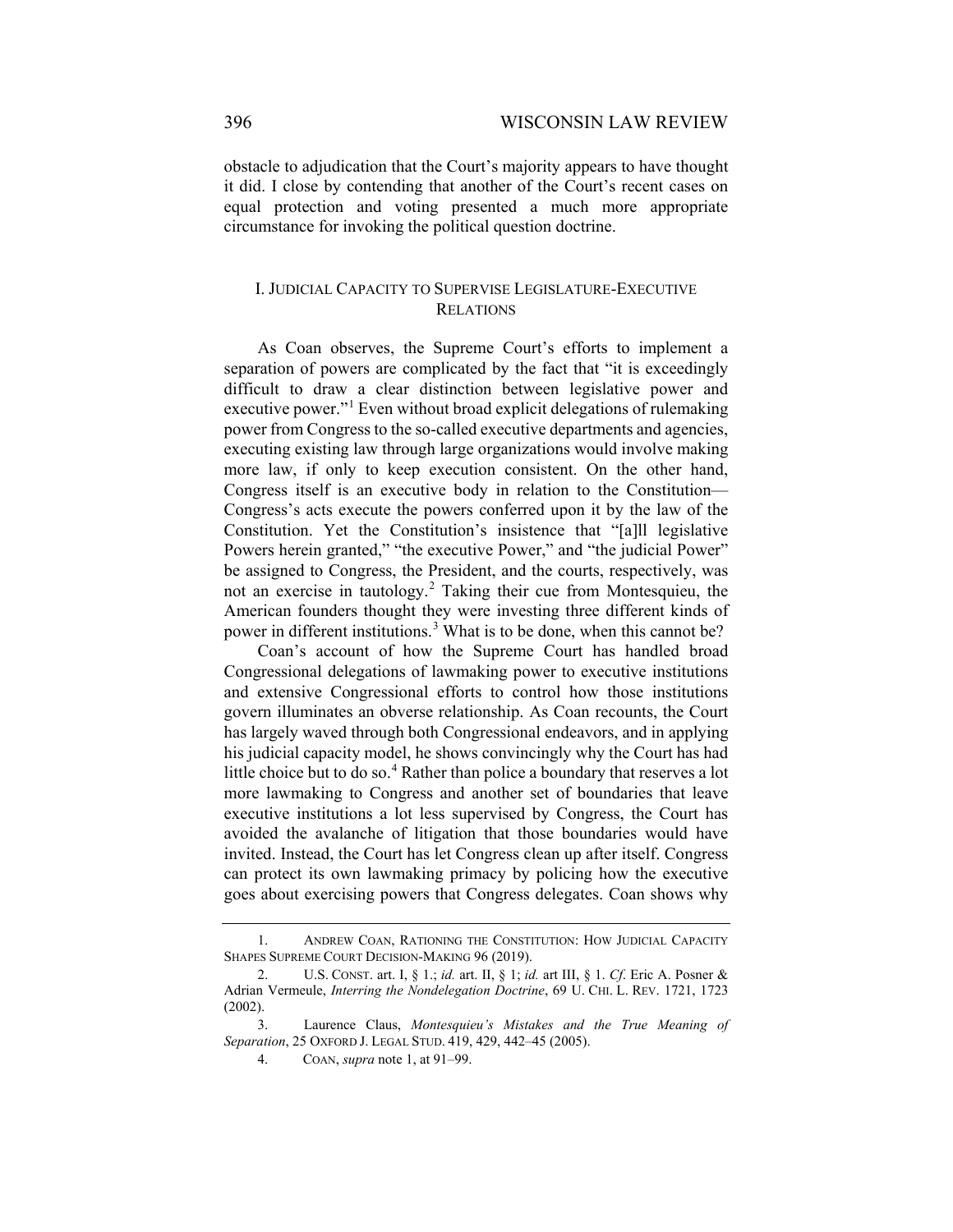obstacle to adjudication that the Court's majority appears to have thought it did. I close by contending that another of the Court's recent cases on equal protection and voting presented a much more appropriate circumstance for invoking the political question doctrine.

## I. JUDICIAL CAPACITY TO SUPERVISE LEGISLATURE-EXECUTIVE RELATIONS

<span id="page-1-0"></span>As Coan observes, the Supreme Court's efforts to implement a separation of powers are complicated by the fact that "it is exceedingly difficult to draw a clear distinction between legislative power and executive power."<sup>[1](#page-1-1)</sup> Even without broad explicit delegations of rulemaking power from Congress to the so-called executive departments and agencies, executing existing law through large organizations would involve making more law, if only to keep execution consistent. On the other hand, Congress itself is an executive body in relation to the Constitution— Congress's acts execute the powers conferred upon it by the law of the Constitution. Yet the Constitution's insistence that "[a]ll legislative Powers herein granted," "the executive Power," and "the judicial Power" be assigned to Congress, the President, and the courts, respectively, was not an exercise in tautology.[2](#page-1-2) Taking their cue from Montesquieu, the American founders thought they were investing three different kinds of power in different institutions.<sup>[3](#page-1-3)</sup> What is to be done, when this cannot be?

Coan's account of how the Supreme Court has handled broad Congressional delegations of lawmaking power to executive institutions and extensive Congressional efforts to control how those institutions govern illuminates an obverse relationship. As Coan recounts, the Court has largely waved through both Congressional endeavors, and in applying his judicial capacity model, he shows convincingly why the Court has had little choice but to do so.<sup>[4](#page-1-4)</sup> Rather than police a boundary that reserves a lot more lawmaking to Congress and another set of boundaries that leave executive institutions a lot less supervised by Congress, the Court has avoided the avalanche of litigation that those boundaries would have invited. Instead, the Court has let Congress clean up after itself. Congress can protect its own lawmaking primacy by policing how the executive goes about exercising powers that Congress delegates. Coan shows why

<span id="page-1-1"></span><sup>1.</sup> ANDREW COAN, RATIONING THE CONSTITUTION: HOW JUDICIAL CAPACITY SHAPES SUPREME COURT DECISION-MAKING 96 (2019).

<span id="page-1-2"></span><sup>2.</sup> U.S. CONST. art. I, § 1.; *id.* art. II, § 1; *id.* art III, § 1. *Cf*. Eric A. Posner & Adrian Vermeule, *Interring the Nondelegation Doctrine*, 69 U. CHI. L. REV. 1721, 1723 (2002).

<span id="page-1-4"></span><span id="page-1-3"></span><sup>3.</sup> Laurence Claus, *Montesquieu's Mistakes and the True Meaning of Separation*, 25 OXFORD J. LEGAL STUD. 419, 429, 442–45 (2005).

<sup>4.</sup> COAN, *supra* note [1,](#page-1-0) at 91–99.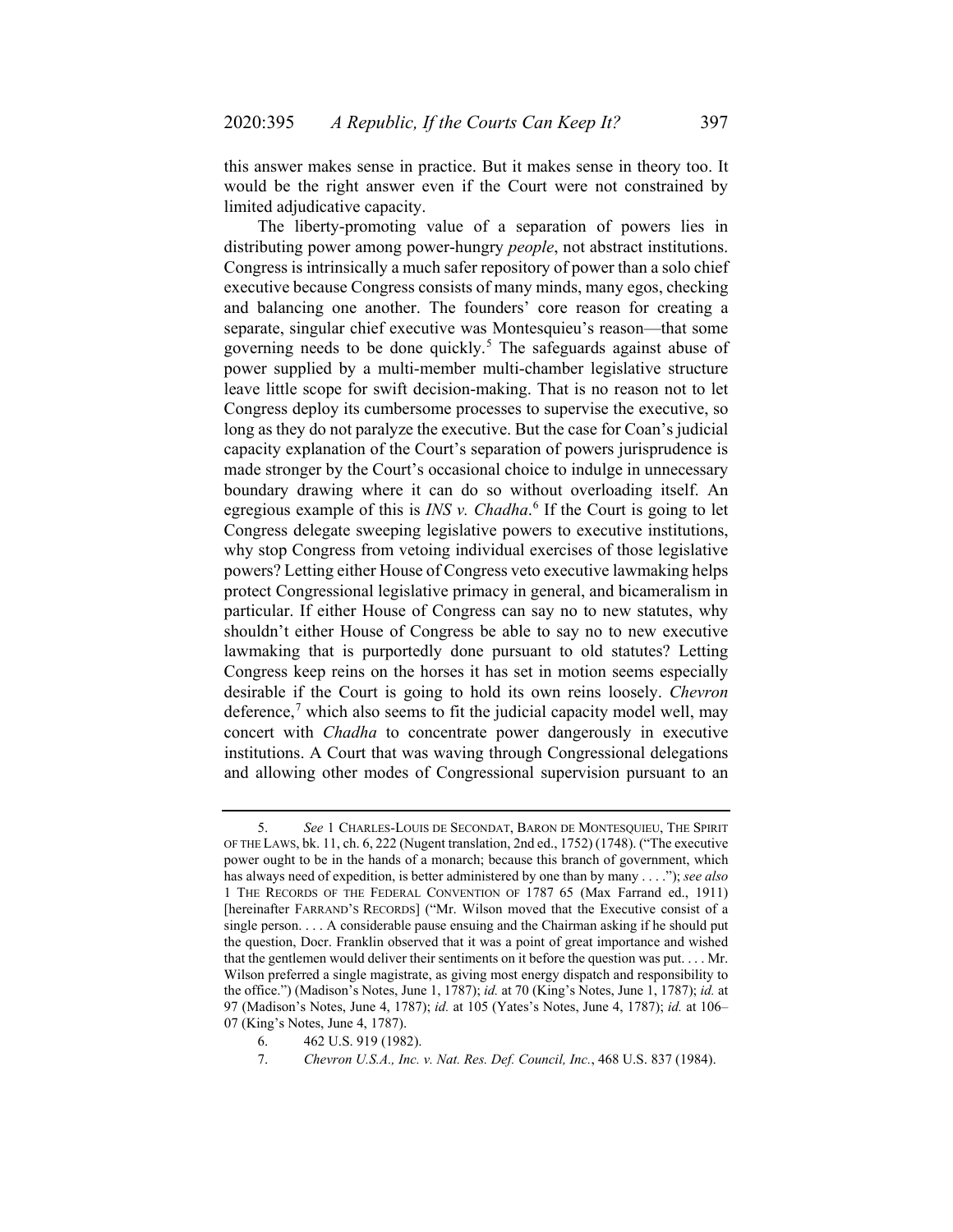this answer makes sense in practice. But it makes sense in theory too. It would be the right answer even if the Court were not constrained by limited adjudicative capacity.

<span id="page-2-3"></span>The liberty-promoting value of a separation of powers lies in distributing power among power-hungry *people*, not abstract institutions. Congress is intrinsically a much safer repository of power than a solo chief executive because Congress consists of many minds, many egos, checking and balancing one another. The founders' core reason for creating a separate, singular chief executive was Montesquieu's reason—that some governing needs to be done quickly.<sup>[5](#page-2-0)</sup> The safeguards against abuse of power supplied by a multi-member multi-chamber legislative structure leave little scope for swift decision-making. That is no reason not to let Congress deploy its cumbersome processes to supervise the executive, so long as they do not paralyze the executive. But the case for Coan's judicial capacity explanation of the Court's separation of powers jurisprudence is made stronger by the Court's occasional choice to indulge in unnecessary boundary drawing where it can do so without overloading itself. An egregious example of this is *INS v. Chadha*. [6](#page-2-1) If the Court is going to let Congress delegate sweeping legislative powers to executive institutions, why stop Congress from vetoing individual exercises of those legislative powers? Letting either House of Congress veto executive lawmaking helps protect Congressional legislative primacy in general, and bicameralism in particular. If either House of Congress can say no to new statutes, why shouldn't either House of Congress be able to say no to new executive lawmaking that is purportedly done pursuant to old statutes? Letting Congress keep reins on the horses it has set in motion seems especially desirable if the Court is going to hold its own reins loosely. *Chevron* deference, $\alpha$  which also seems to fit the judicial capacity model well, may concert with *Chadha* to concentrate power dangerously in executive institutions. A Court that was waving through Congressional delegations and allowing other modes of Congressional supervision pursuant to an

<span id="page-2-0"></span><sup>5.</sup> *See* 1 CHARLES-LOUIS DE SECONDAT, BARON DE MONTESQUIEU, THE SPIRIT OF THE LAWS, bk. 11, ch. 6, 222 (Nugent translation, 2nd ed., 1752) (1748). ("The executive power ought to be in the hands of a monarch; because this branch of government, which has always need of expedition, is better administered by one than by many . . . ."); *see also* 1 THE RECORDS OF THE FEDERAL CONVENTION OF 1787 65 (Max Farrand ed., 1911) [hereinafter FARRAND'S RECORDS] ("Mr. Wilson moved that the Executive consist of a single person. . . . A considerable pause ensuing and the Chairman asking if he should put the question, Docr. Franklin observed that it was a point of great importance and wished that the gentlemen would deliver their sentiments on it before the question was put. . . . Mr. Wilson preferred a single magistrate, as giving most energy dispatch and responsibility to the office.") (Madison's Notes, June 1, 1787); *id.* at 70 (King's Notes, June 1, 1787); *id.* at 97 (Madison's Notes, June 4, 1787); *id.* at 105 (Yates's Notes, June 4, 1787); *id.* at 106– 07 (King's Notes, June 4, 1787).

<span id="page-2-2"></span><span id="page-2-1"></span><sup>6.</sup> 462 U.S. 919 (1982).

<sup>7.</sup> *Chevron U.S.A., Inc. v. Nat. Res. Def. Council, Inc.*, 468 U.S. 837 (1984).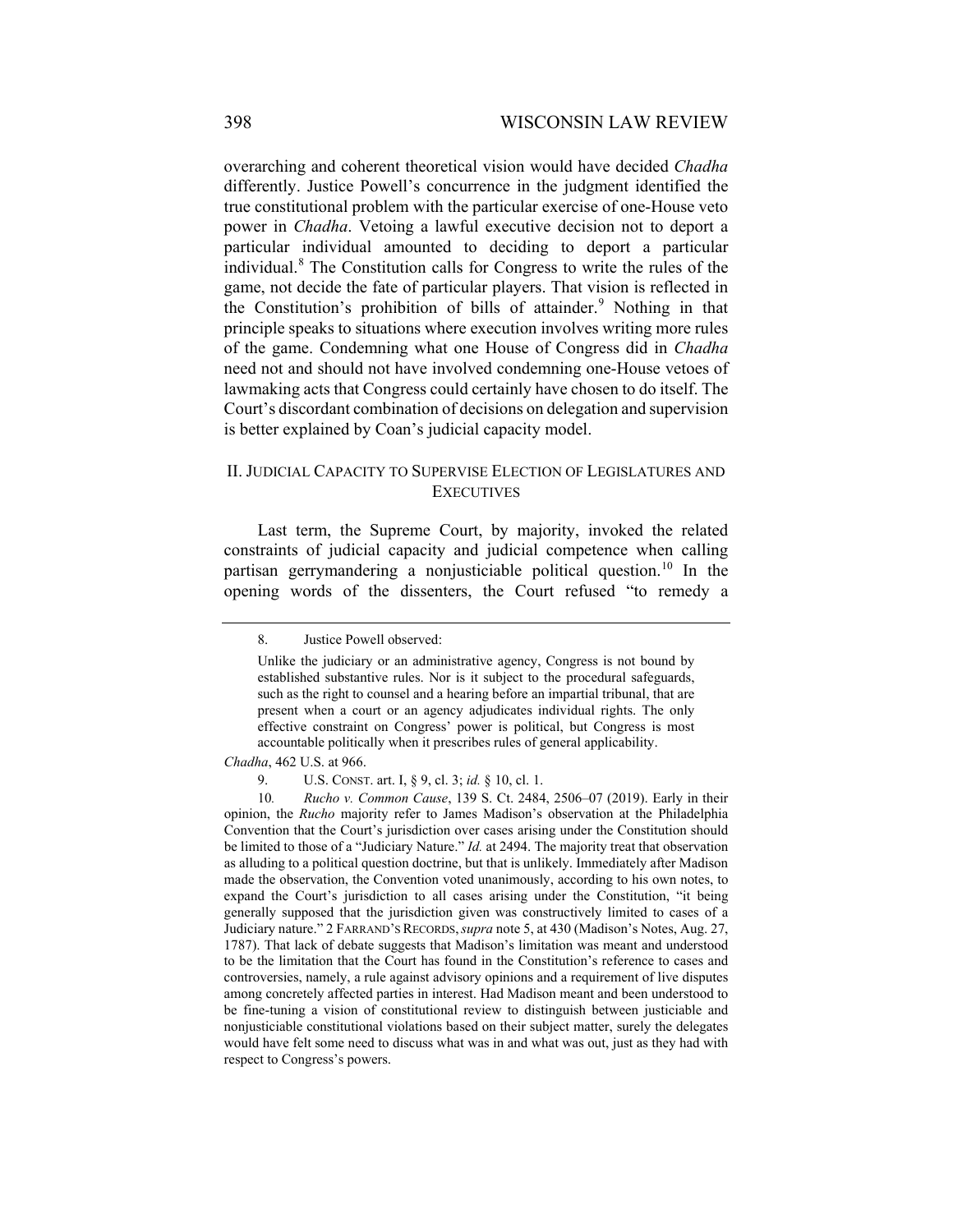overarching and coherent theoretical vision would have decided *Chadha* differently. Justice Powell's concurrence in the judgment identified the true constitutional problem with the particular exercise of one-House veto power in *Chadha*. Vetoing a lawful executive decision not to deport a particular individual amounted to deciding to deport a particular individual.[8](#page-3-0) The Constitution calls for Congress to write the rules of the game, not decide the fate of particular players. That vision is reflected in the Constitution's prohibition of bills of attainder.<sup>[9](#page-3-1)</sup> Nothing in that principle speaks to situations where execution involves writing more rules of the game. Condemning what one House of Congress did in *Chadha* need not and should not have involved condemning one-House vetoes of lawmaking acts that Congress could certainly have chosen to do itself. The Court's discordant combination of decisions on delegation and supervision is better explained by Coan's judicial capacity model.

## II. JUDICIAL CAPACITY TO SUPERVISE ELECTION OF LEGISLATURES AND **EXECUTIVES**

<span id="page-3-0"></span>Last term, the Supreme Court, by majority, invoked the related constraints of judicial capacity and judicial competence when calling partisan gerrymandering a nonjusticiable political question.<sup>[10](#page-3-2)</sup> In the opening words of the dissenters, the Court refused "to remedy a

*Chadha*, 462 U.S. at 966.

<sup>8.</sup> Justice Powell observed:

Unlike the judiciary or an administrative agency, Congress is not bound by established substantive rules. Nor is it subject to the procedural safeguards, such as the right to counsel and a hearing before an impartial tribunal, that are present when a court or an agency adjudicates individual rights. The only effective constraint on Congress' power is political, but Congress is most accountable politically when it prescribes rules of general applicability.

<sup>9.</sup> U.S. CONST. art. I, § 9, cl. 3; *id.* § 10, cl. 1.

<span id="page-3-2"></span><span id="page-3-1"></span><sup>10</sup>*. Rucho v. Common Cause*, 139 S. Ct. 2484, 2506–07 (2019). Early in their opinion, the *Rucho* majority refer to James Madison's observation at the Philadelphia Convention that the Court's jurisdiction over cases arising under the Constitution should be limited to those of a "Judiciary Nature." *Id.* at 2494. The majority treat that observation as alluding to a political question doctrine, but that is unlikely. Immediately after Madison made the observation, the Convention voted unanimously, according to his own notes, to expand the Court's jurisdiction to all cases arising under the Constitution, "it being generally supposed that the jurisdiction given was constructively limited to cases of a Judiciary nature." 2 FARRAND'S RECORDS,*supra* not[e 5,](#page-2-3) at 430 (Madison's Notes, Aug. 27, 1787). That lack of debate suggests that Madison's limitation was meant and understood to be the limitation that the Court has found in the Constitution's reference to cases and controversies, namely, a rule against advisory opinions and a requirement of live disputes among concretely affected parties in interest. Had Madison meant and been understood to be fine-tuning a vision of constitutional review to distinguish between justiciable and nonjusticiable constitutional violations based on their subject matter, surely the delegates would have felt some need to discuss what was in and what was out, just as they had with respect to Congress's powers.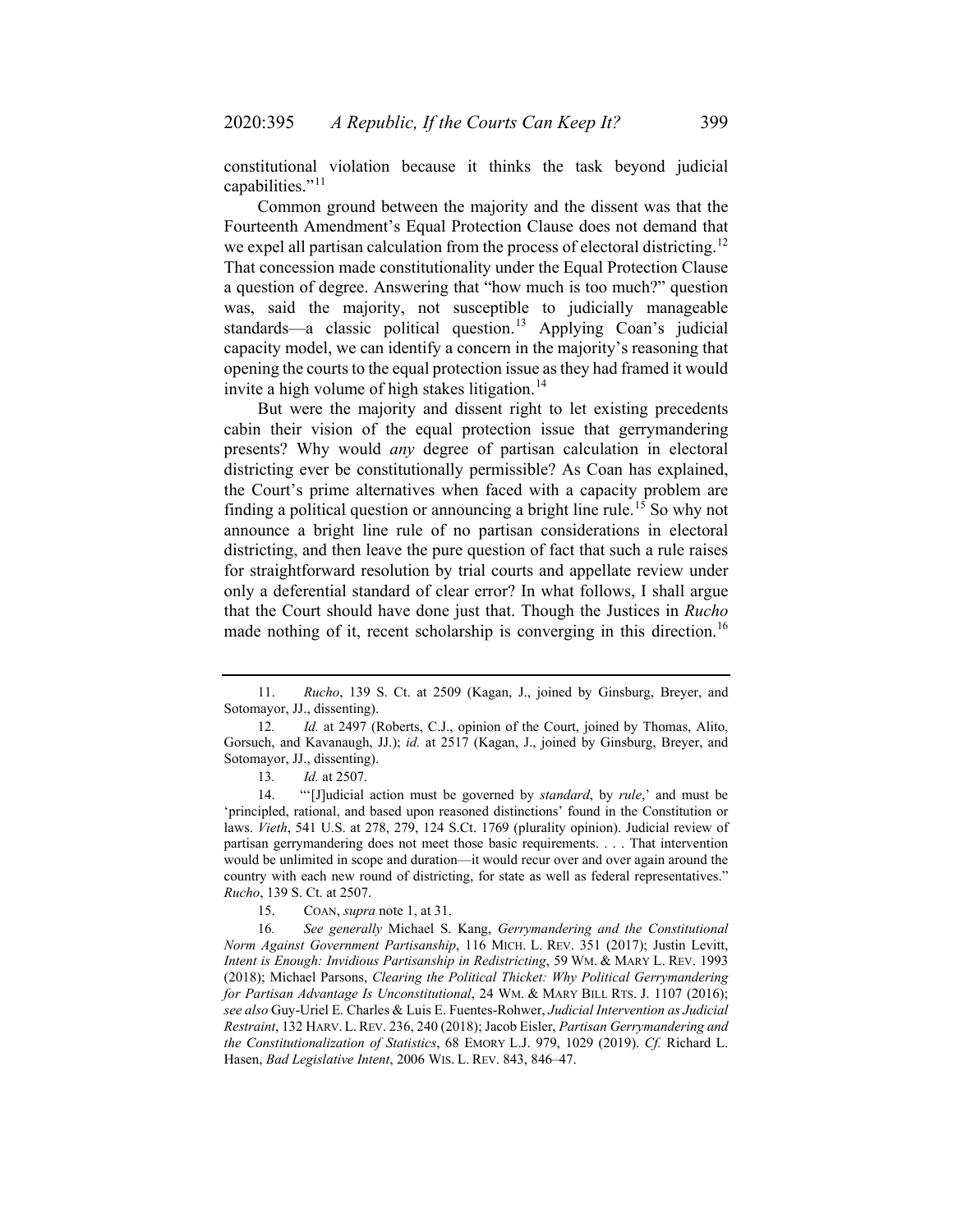constitutional violation because it thinks the task beyond judicial capabilities."<sup>[11](#page-4-0)</sup>

Common ground between the majority and the dissent was that the Fourteenth Amendment's Equal Protection Clause does not demand that we expel all partisan calculation from the process of electoral districting.<sup>[12](#page-4-1)</sup> That concession made constitutionality under the Equal Protection Clause a question of degree. Answering that "how much is too much?" question was, said the majority, not susceptible to judicially manageable standards—a classic political question.<sup>[13](#page-4-2)</sup> Applying Coan's judicial capacity model, we can identify a concern in the majority's reasoning that opening the courts to the equal protection issue as they had framed it would invite a high volume of high stakes litigation.<sup>[14](#page-4-3)</sup>

But were the majority and dissent right to let existing precedents cabin their vision of the equal protection issue that gerrymandering presents? Why would *any* degree of partisan calculation in electoral districting ever be constitutionally permissible? As Coan has explained, the Court's prime alternatives when faced with a capacity problem are finding a political question or announcing a bright line rule.<sup>[15](#page-4-4)</sup> So why not announce a bright line rule of no partisan considerations in electoral districting, and then leave the pure question of fact that such a rule raises for straightforward resolution by trial courts and appellate review under only a deferential standard of clear error? In what follows, I shall argue that the Court should have done just that. Though the Justices in *Rucho* made nothing of it, recent scholarship is converging in this direction.<sup>[16](#page-4-5)</sup>

15. COAN, *supra* note 1, at 31.

<span id="page-4-5"></span><span id="page-4-4"></span>16*. See generally* Michael S. Kang, *Gerrymandering and the Constitutional Norm Against Government Partisanship*, 116 MICH. L. REV. 351 (2017); Justin Levitt, *Intent is Enough: Invidious Partisanship in Redistricting*, 59 WM. & MARY L. REV. 1993 (2018); Michael Parsons, *Clearing the Political Thicket: Why Political Gerrymandering for Partisan Advantage Is Unconstitutional*, 24 WM. & MARY BILL RTS. J. 1107 (2016); *see also* Guy-Uriel E. Charles & Luis E. Fuentes-Rohwer, *Judicial Intervention as Judicial Restraint*, 132 HARV. L.REV. 236, 240 (2018); Jacob Eisler, *Partisan Gerrymandering and the Constitutionalization of Statistics*, 68 EMORY L.J. 979, 1029 (2019). *Cf.* Richard L. Hasen, *Bad Legislative Intent*, 2006 WIS. L. REV. 843, 846–47.

<span id="page-4-0"></span><sup>11.</sup> *Rucho*, 139 S. Ct. at 2509 (Kagan, J., joined by Ginsburg, Breyer, and Sotomayor, JJ., dissenting).

<span id="page-4-1"></span><sup>12</sup>*. Id.* at 2497 (Roberts, C.J., opinion of the Court, joined by Thomas, Alito, Gorsuch, and Kavanaugh, JJ.); *id.* at 2517 (Kagan, J., joined by Ginsburg, Breyer, and Sotomayor, JJ., dissenting).

<span id="page-4-6"></span><sup>13</sup>*. Id.* at 2507.

<span id="page-4-3"></span><span id="page-4-2"></span><sup>14.</sup> "'[J]udicial action must be governed by *standard*, by *rule*,' and must be 'principled, rational, and based upon reasoned distinctions' found in the Constitution or laws. *Vieth*, 541 U.S. at 278, 279, 124 S.Ct. 1769 (plurality opinion). Judicial review of partisan gerrymandering does not meet those basic requirements. . . . That intervention would be unlimited in scope and duration—it would recur over and over again around the country with each new round of districting, for state as well as federal representatives." *Rucho*, 139 S. Ct. at 2507.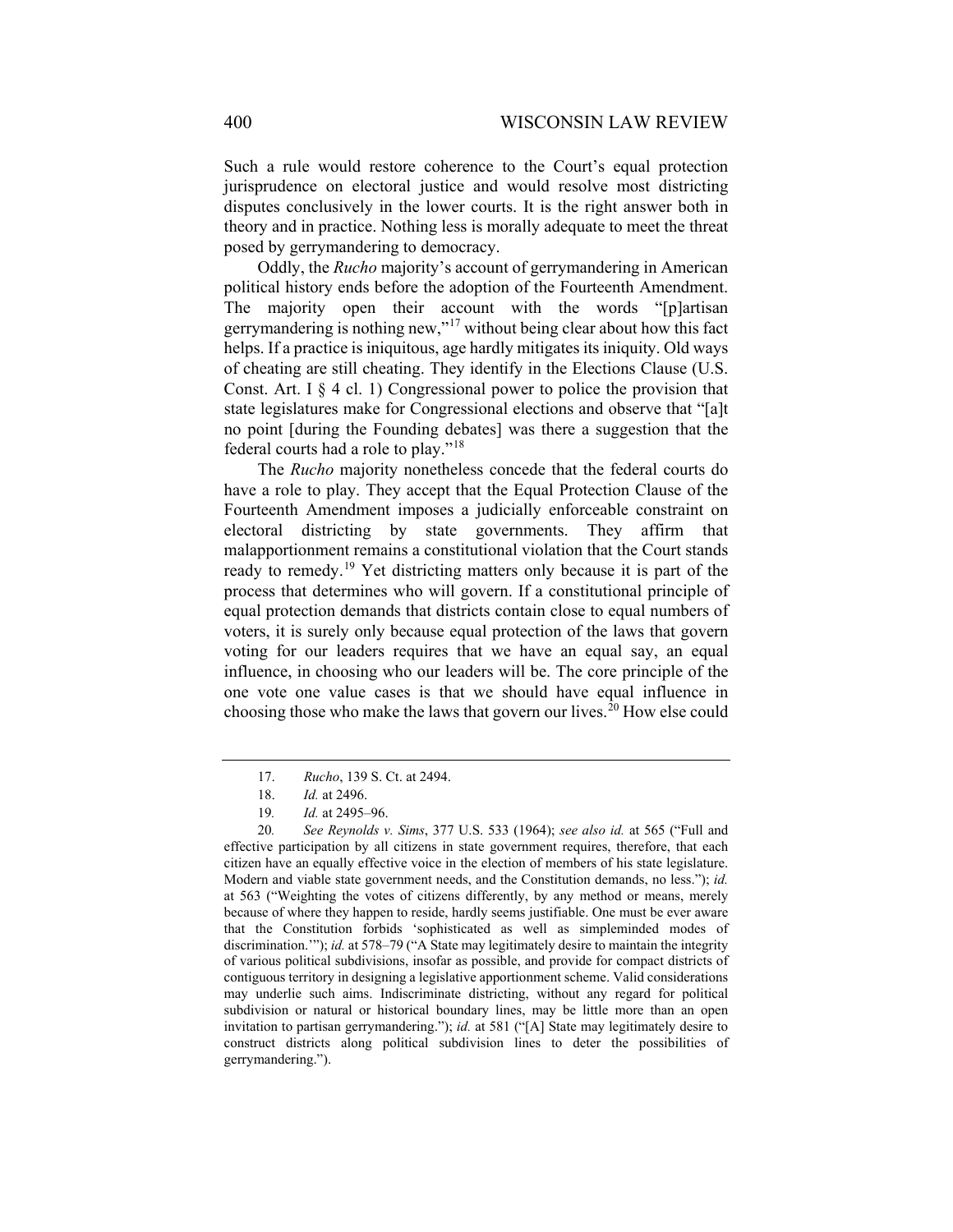Such a rule would restore coherence to the Court's equal protection jurisprudence on electoral justice and would resolve most districting disputes conclusively in the lower courts. It is the right answer both in theory and in practice. Nothing less is morally adequate to meet the threat posed by gerrymandering to democracy.

Oddly, the *Rucho* majority's account of gerrymandering in American political history ends before the adoption of the Fourteenth Amendment. The majority open their account with the words "[p]artisan gerrymandering is nothing new,"[17](#page-5-0) without being clear about how this fact helps. If a practice is iniquitous, age hardly mitigates its iniquity. Old ways of cheating are still cheating. They identify in the Elections Clause (U.S. Const. Art. I  $\S 4$  cl. 1) Congressional power to police the provision that state legislatures make for Congressional elections and observe that "[a]t no point [during the Founding debates] was there a suggestion that the federal courts had a role to play."[18](#page-5-1)

The *Rucho* majority nonetheless concede that the federal courts do have a role to play. They accept that the Equal Protection Clause of the Fourteenth Amendment imposes a judicially enforceable constraint on electoral districting by state governments. They affirm that malapportionment remains a constitutional violation that the Court stands ready to remedy.<sup>[19](#page-5-2)</sup> Yet districting matters only because it is part of the process that determines who will govern. If a constitutional principle of equal protection demands that districts contain close to equal numbers of voters, it is surely only because equal protection of the laws that govern voting for our leaders requires that we have an equal say, an equal influence, in choosing who our leaders will be. The core principle of the one vote one value cases is that we should have equal influence in choosing those who make the laws that govern our lives.<sup>[20](#page-5-3)</sup> How else could

<sup>17.</sup> *Rucho*, 139 S. Ct. at 2494.

<sup>18.</sup> *Id.* at 2496.

<sup>19</sup>*. Id.* at 2495–96.

<span id="page-5-3"></span><span id="page-5-2"></span><span id="page-5-1"></span><span id="page-5-0"></span><sup>20</sup>*. See Reynolds v. Sims*, 377 U.S. 533 (1964); *see also id.* at 565 ("Full and effective participation by all citizens in state government requires, therefore, that each citizen have an equally effective voice in the election of members of his state legislature. Modern and viable state government needs, and the Constitution demands, no less."); *id.* at 563 ("Weighting the votes of citizens differently, by any method or means, merely because of where they happen to reside, hardly seems justifiable. One must be ever aware that the Constitution forbids 'sophisticated as well as simpleminded modes of discrimination.'"); *id.* at 578–79 ("A State may legitimately desire to maintain the integrity of various political subdivisions, insofar as possible, and provide for compact districts of contiguous territory in designing a legislative apportionment scheme. Valid considerations may underlie such aims. Indiscriminate districting, without any regard for political subdivision or natural or historical boundary lines, may be little more than an open invitation to partisan gerrymandering."); *id.* at 581 ("[A] State may legitimately desire to construct districts along political subdivision lines to deter the possibilities of gerrymandering.").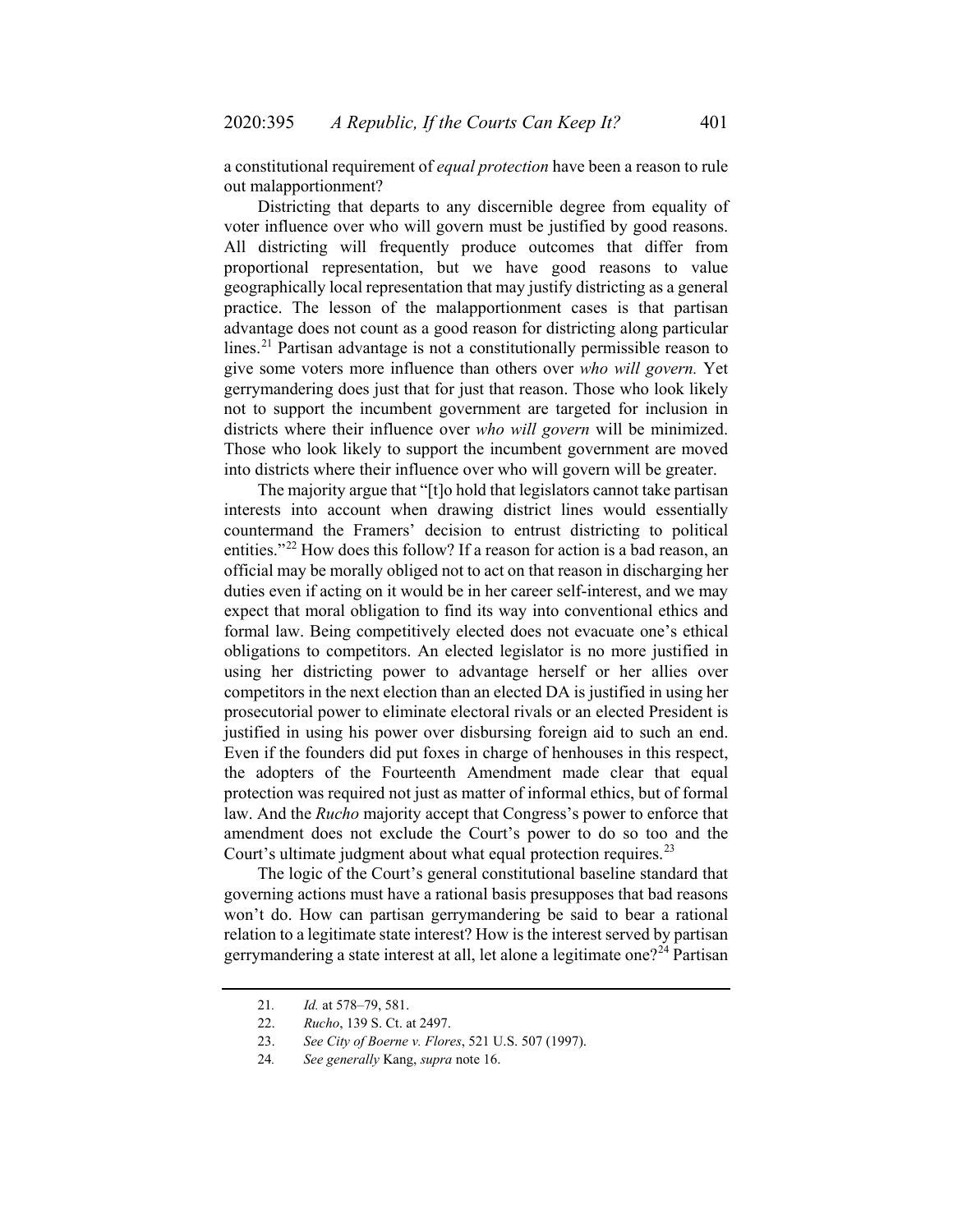a constitutional requirement of *equal protection* have been a reason to rule out malapportionment?

Districting that departs to any discernible degree from equality of voter influence over who will govern must be justified by good reasons. All districting will frequently produce outcomes that differ from proportional representation, but we have good reasons to value geographically local representation that may justify districting as a general practice. The lesson of the malapportionment cases is that partisan advantage does not count as a good reason for districting along particular lines.<sup>[21](#page-6-0)</sup> Partisan advantage is not a constitutionally permissible reason to give some voters more influence than others over *who will govern.* Yet gerrymandering does just that for just that reason. Those who look likely not to support the incumbent government are targeted for inclusion in districts where their influence over *who will govern* will be minimized. Those who look likely to support the incumbent government are moved into districts where their influence over who will govern will be greater.

The majority argue that "[t]o hold that legislators cannot take partisan interests into account when drawing district lines would essentially countermand the Framers' decision to entrust districting to political entities."<sup>[22](#page-6-1)</sup> How does this follow? If a reason for action is a bad reason, an official may be morally obliged not to act on that reason in discharging her duties even if acting on it would be in her career self-interest, and we may expect that moral obligation to find its way into conventional ethics and formal law. Being competitively elected does not evacuate one's ethical obligations to competitors. An elected legislator is no more justified in using her districting power to advantage herself or her allies over competitors in the next election than an elected DA is justified in using her prosecutorial power to eliminate electoral rivals or an elected President is justified in using his power over disbursing foreign aid to such an end. Even if the founders did put foxes in charge of henhouses in this respect, the adopters of the Fourteenth Amendment made clear that equal protection was required not just as matter of informal ethics, but of formal law. And the *Rucho* majority accept that Congress's power to enforce that amendment does not exclude the Court's power to do so too and the Court's ultimate judgment about what equal protection requires.  $2<sup>3</sup>$ 

The logic of the Court's general constitutional baseline standard that governing actions must have a rational basis presupposes that bad reasons won't do. How can partisan gerrymandering be said to bear a rational relation to a legitimate state interest? How is the interest served by partisan gerrymandering a state interest at all, let alone a legitimate one?<sup>[24](#page-6-3)</sup> Partisan

<span id="page-6-1"></span><span id="page-6-0"></span><sup>21</sup>*. Id.* at 578–79, 581.

<sup>22.</sup> *Rucho*, 139 S. Ct. at 2497.

<span id="page-6-2"></span><sup>23.</sup> *See City of Boerne v. Flores*, 521 U.S. 507 (1997).

<span id="page-6-3"></span><sup>24</sup>*. See generally* Kang, *supra* not[e 16.](#page-4-6)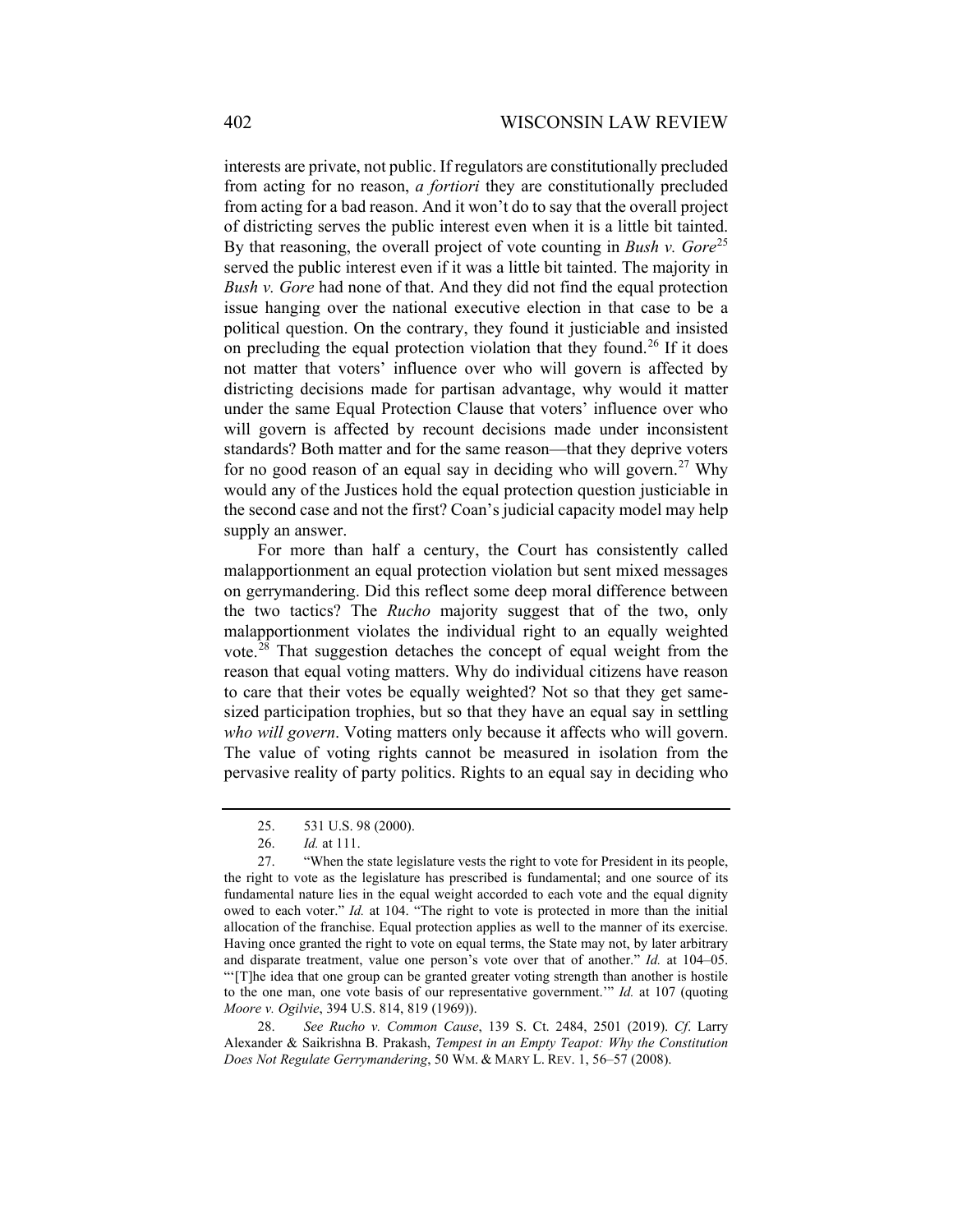interests are private, not public. If regulators are constitutionally precluded from acting for no reason, *a fortiori* they are constitutionally precluded from acting for a bad reason. And it won't do to say that the overall project of districting serves the public interest even when it is a little bit tainted. By that reasoning, the overall project of vote counting in *Bush v. Gore*<sup>[25](#page-7-0)</sup> served the public interest even if it was a little bit tainted. The majority in *Bush v. Gore* had none of that. And they did not find the equal protection issue hanging over the national executive election in that case to be a political question. On the contrary, they found it justiciable and insisted on precluding the equal protection violation that they found.<sup>[26](#page-7-1)</sup> If it does not matter that voters' influence over who will govern is affected by districting decisions made for partisan advantage, why would it matter under the same Equal Protection Clause that voters' influence over who will govern is affected by recount decisions made under inconsistent standards? Both matter and for the same reason—that they deprive voters for no good reason of an equal say in deciding who will govern.<sup>[27](#page-7-2)</sup> Why would any of the Justices hold the equal protection question justiciable in the second case and not the first? Coan's judicial capacity model may help supply an answer.

For more than half a century, the Court has consistently called malapportionment an equal protection violation but sent mixed messages on gerrymandering. Did this reflect some deep moral difference between the two tactics? The *Rucho* majority suggest that of the two, only malapportionment violates the individual right to an equally weighted vote.<sup>[28](#page-7-3)</sup> That suggestion detaches the concept of equal weight from the reason that equal voting matters. Why do individual citizens have reason to care that their votes be equally weighted? Not so that they get samesized participation trophies, but so that they have an equal say in settling *who will govern*. Voting matters only because it affects who will govern. The value of voting rights cannot be measured in isolation from the pervasive reality of party politics. Rights to an equal say in deciding who

to the one man, one vote basis of our representative government.'" *Id.* at 107 (quoting *Moore v. Ogilvie*, 394 U.S. 814, 819 (1969)).

<span id="page-7-3"></span>28. *See Rucho v. Common Cause*, 139 S. Ct. 2484, 2501 (2019). *Cf*. Larry Alexander & Saikrishna B. Prakash, *Tempest in an Empty Teapot: Why the Constitution Does Not Regulate Gerrymandering*, 50 WM. & MARY L. REV. 1, 56–57 (2008).

<sup>25.</sup> 531 U.S. 98 (2000).

<sup>26.</sup> *Id.* at 111.

<span id="page-7-2"></span><span id="page-7-1"></span><span id="page-7-0"></span><sup>27.</sup> "When the state legislature vests the right to vote for President in its people, the right to vote as the legislature has prescribed is fundamental; and one source of its fundamental nature lies in the equal weight accorded to each vote and the equal dignity owed to each voter." *Id.* at 104. "The right to vote is protected in more than the initial allocation of the franchise. Equal protection applies as well to the manner of its exercise. Having once granted the right to vote on equal terms, the State may not, by later arbitrary and disparate treatment, value one person's vote over that of another." *Id.* at 104–05. "'[T]he idea that one group can be granted greater voting strength than another is hostile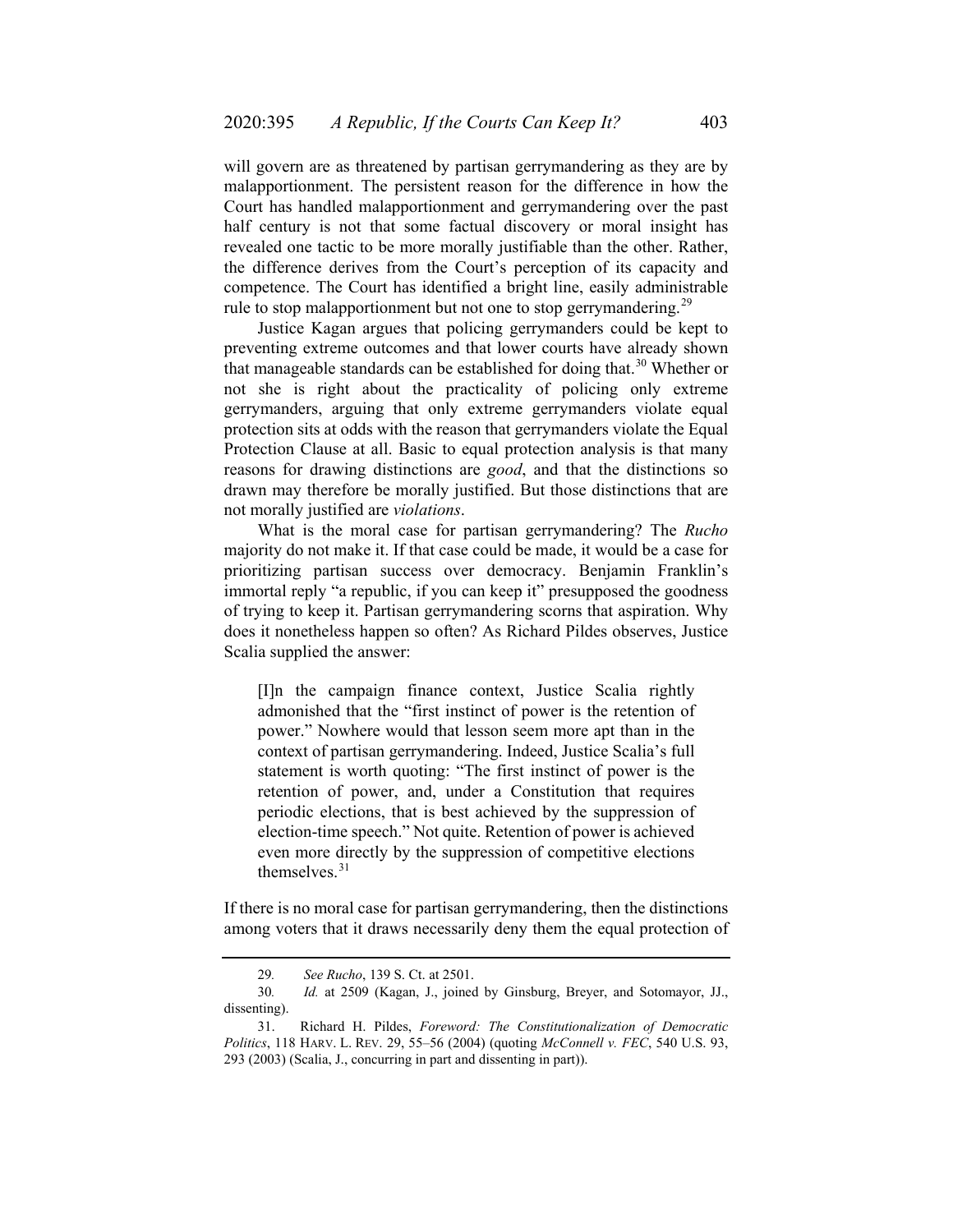will govern are as threatened by partisan gerrymandering as they are by malapportionment. The persistent reason for the difference in how the Court has handled malapportionment and gerrymandering over the past half century is not that some factual discovery or moral insight has revealed one tactic to be more morally justifiable than the other. Rather, the difference derives from the Court's perception of its capacity and competence. The Court has identified a bright line, easily administrable rule to stop malapportionment but not one to stop gerrymandering.<sup>[29](#page-8-0)</sup>

Justice Kagan argues that policing gerrymanders could be kept to preventing extreme outcomes and that lower courts have already shown that manageable standards can be established for doing that.<sup>[30](#page-8-1)</sup> Whether or not she is right about the practicality of policing only extreme gerrymanders, arguing that only extreme gerrymanders violate equal protection sits at odds with the reason that gerrymanders violate the Equal Protection Clause at all. Basic to equal protection analysis is that many reasons for drawing distinctions are *good*, and that the distinctions so drawn may therefore be morally justified. But those distinctions that are not morally justified are *violations*.

What is the moral case for partisan gerrymandering? The *Rucho* majority do not make it. If that case could be made, it would be a case for prioritizing partisan success over democracy. Benjamin Franklin's immortal reply "a republic, if you can keep it" presupposed the goodness of trying to keep it. Partisan gerrymandering scorns that aspiration. Why does it nonetheless happen so often? As Richard Pildes observes, Justice Scalia supplied the answer:

[I]n the campaign finance context, Justice Scalia rightly admonished that the "first instinct of power is the retention of power." Nowhere would that lesson seem more apt than in the context of partisan gerrymandering. Indeed, Justice Scalia's full statement is worth quoting: "The first instinct of power is the retention of power, and, under a Constitution that requires periodic elections, that is best achieved by the suppression of election-time speech." Not quite. Retention of power is achieved even more directly by the suppression of competitive elections themselves.[31](#page-8-2)

<span id="page-8-3"></span>If there is no moral case for partisan gerrymandering, then the distinctions among voters that it draws necessarily deny them the equal protection of

<sup>29</sup>*. See Rucho*, 139 S. Ct. at 2501.

<span id="page-8-1"></span><span id="page-8-0"></span><sup>30</sup>*. Id.* at 2509 (Kagan, J., joined by Ginsburg, Breyer, and Sotomayor, JJ., dissenting).

<span id="page-8-2"></span><sup>31.</sup> Richard H. Pildes, *Foreword: The Constitutionalization of Democratic Politics*, 118 HARV. L. REV. 29, 55–56 (2004) (quoting *McConnell v. FEC*, 540 U.S. 93, 293 (2003) (Scalia, J., concurring in part and dissenting in part)).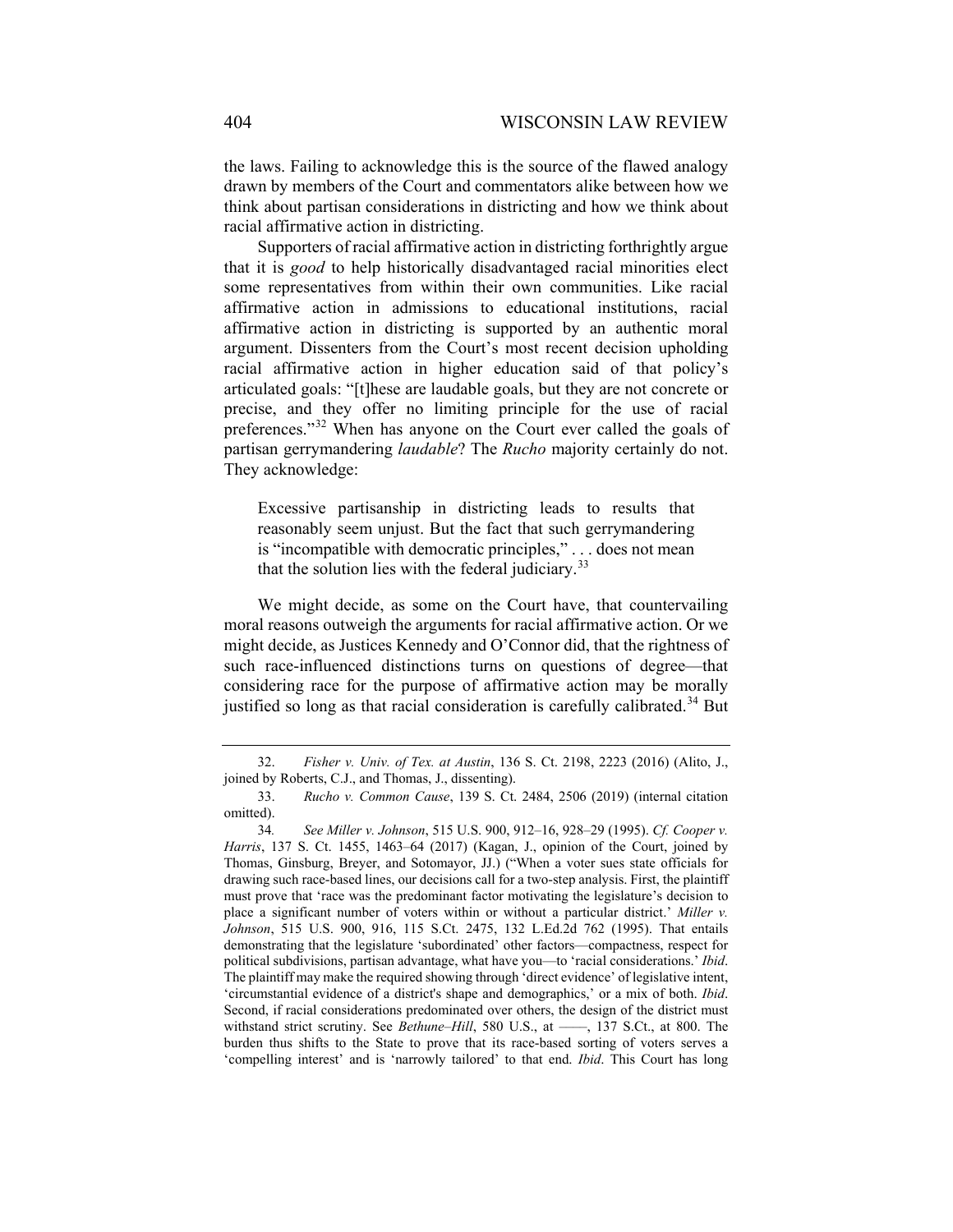the laws. Failing to acknowledge this is the source of the flawed analogy drawn by members of the Court and commentators alike between how we think about partisan considerations in districting and how we think about racial affirmative action in districting.

Supporters of racial affirmative action in districting forthrightly argue that it is *good* to help historically disadvantaged racial minorities elect some representatives from within their own communities. Like racial affirmative action in admissions to educational institutions, racial affirmative action in districting is supported by an authentic moral argument. Dissenters from the Court's most recent decision upholding racial affirmative action in higher education said of that policy's articulated goals: "[t]hese are laudable goals, but they are not concrete or precise, and they offer no limiting principle for the use of racial preferences."<sup>[32](#page-9-0)</sup> When has anyone on the Court ever called the goals of partisan gerrymandering *laudable*? The *Rucho* majority certainly do not. They acknowledge:

Excessive partisanship in districting leads to results that reasonably seem unjust. But the fact that such gerrymandering is "incompatible with democratic principles," . . . does not mean that the solution lies with the federal judiciary. $33$ 

We might decide, as some on the Court have, that countervailing moral reasons outweigh the arguments for racial affirmative action. Or we might decide, as Justices Kennedy and O'Connor did, that the rightness of such race-influenced distinctions turns on questions of degree—that considering race for the purpose of affirmative action may be morally justified so long as that racial consideration is carefully calibrated.<sup>[34](#page-9-2)</sup> But

<span id="page-9-0"></span><sup>32.</sup> *Fisher v. Univ. of Tex. at Austin*, 136 S. Ct. 2198, 2223 (2016) (Alito, J., joined by Roberts, C.J., and Thomas, J., dissenting).

<span id="page-9-1"></span><sup>33.</sup> *Rucho v. Common Cause*, 139 S. Ct. 2484, 2506 (2019) (internal citation omitted).

<span id="page-9-2"></span><sup>34</sup>*. See Miller v. Johnson*, 515 U.S. 900, 912–16, 928–29 (1995). *Cf. Cooper v. Harris*, 137 S. Ct. 1455, 1463–64 (2017) (Kagan, J., opinion of the Court, joined by Thomas, Ginsburg, Breyer, and Sotomayor, JJ.) ("When a voter sues state officials for drawing such race-based lines, our decisions call for a two-step analysis. First, the plaintiff must prove that 'race was the predominant factor motivating the legislature's decision to place a significant number of voters within or without a particular district.' *Miller v. Johnson*, 515 U.S. 900, 916, 115 S.Ct. 2475, 132 L.Ed.2d 762 (1995). That entails demonstrating that the legislature 'subordinated' other factors—compactness, respect for political subdivisions, partisan advantage, what have you—to 'racial considerations.' *Ibid*. The plaintiff may make the required showing through 'direct evidence' of legislative intent, 'circumstantial evidence of a district's shape and demographics,' or a mix of both. *Ibid*. Second, if racial considerations predominated over others, the design of the district must withstand strict scrutiny. See *Bethune–Hill*, 580 U.S., at ——, 137 S.Ct., at 800. The burden thus shifts to the State to prove that its race-based sorting of voters serves a 'compelling interest' and is 'narrowly tailored' to that end. *Ibid*. This Court has long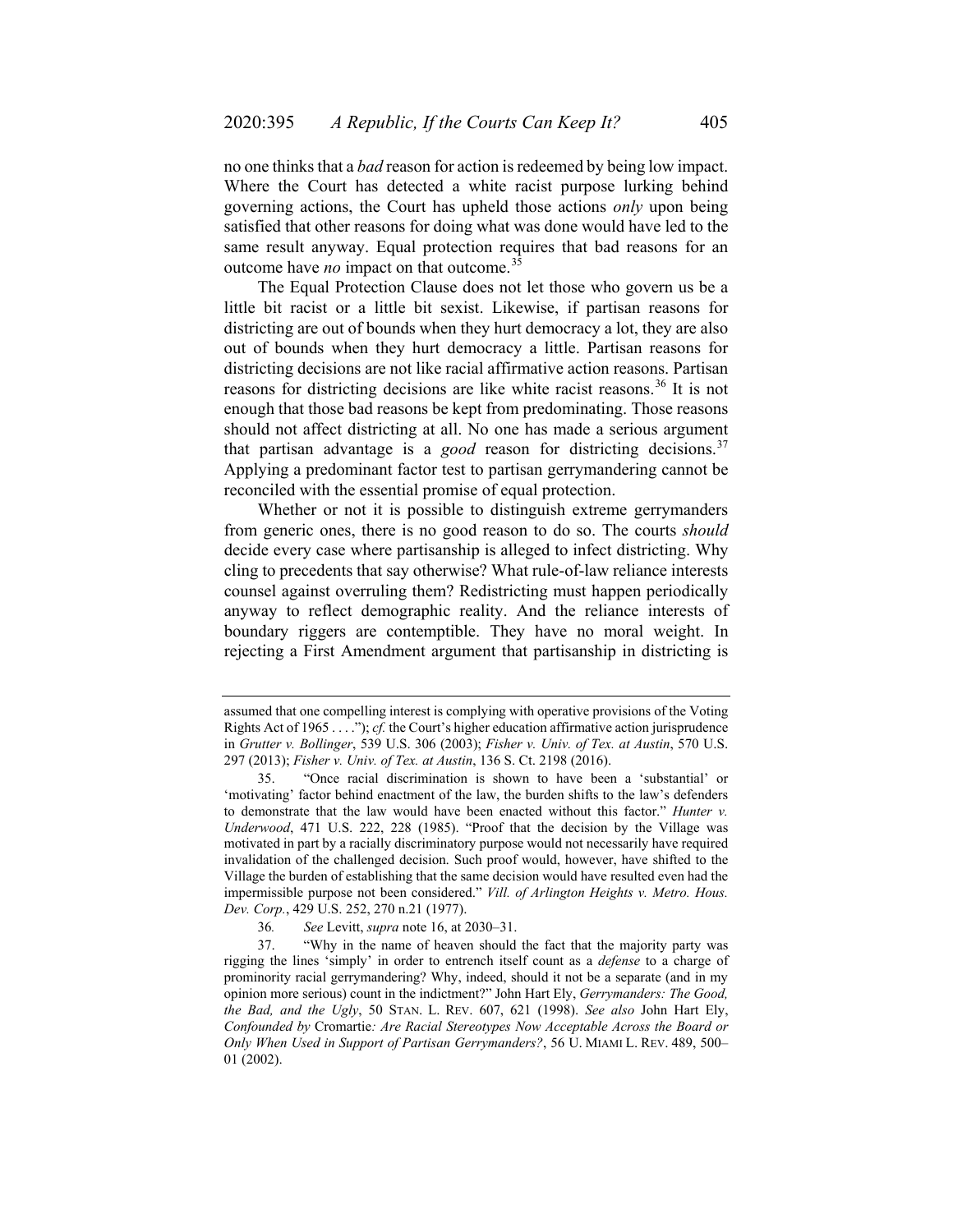no one thinks that a *bad* reason for action is redeemed by being low impact. Where the Court has detected a white racist purpose lurking behind governing actions, the Court has upheld those actions *only* upon being satisfied that other reasons for doing what was done would have led to the same result anyway. Equal protection requires that bad reasons for an outcome have *no* impact on that outcome.[35](#page-10-0)

The Equal Protection Clause does not let those who govern us be a little bit racist or a little bit sexist. Likewise, if partisan reasons for districting are out of bounds when they hurt democracy a lot, they are also out of bounds when they hurt democracy a little. Partisan reasons for districting decisions are not like racial affirmative action reasons. Partisan reasons for districting decisions are like white racist reasons.<sup>[36](#page-10-1)</sup> It is not enough that those bad reasons be kept from predominating. Those reasons should not affect districting at all. No one has made a serious argument that partisan advantage is a *good* reason for districting decisions.<sup>[37](#page-10-2)</sup> Applying a predominant factor test to partisan gerrymandering cannot be reconciled with the essential promise of equal protection.

Whether or not it is possible to distinguish extreme gerrymanders from generic ones, there is no good reason to do so. The courts *should* decide every case where partisanship is alleged to infect districting. Why cling to precedents that say otherwise? What rule-of-law reliance interests counsel against overruling them? Redistricting must happen periodically anyway to reflect demographic reality. And the reliance interests of boundary riggers are contemptible. They have no moral weight. In rejecting a First Amendment argument that partisanship in districting is

assumed that one compelling interest is complying with operative provisions of the Voting Rights Act of 1965 . . . ."); *cf.* the Court's higher education affirmative action jurisprudence in *Grutter v. Bollinger*, 539 U.S. 306 (2003); *Fisher v. Univ. of Tex. at Austin*, 570 U.S. 297 (2013); *Fisher v. Univ. of Tex. at Austin*, 136 S. Ct. 2198 (2016).

<span id="page-10-0"></span><sup>35.</sup> "Once racial discrimination is shown to have been a 'substantial' or 'motivating' factor behind enactment of the law, the burden shifts to the law's defenders to demonstrate that the law would have been enacted without this factor." *Hunter v. Underwood*, 471 U.S. 222, 228 (1985). "Proof that the decision by the Village was motivated in part by a racially discriminatory purpose would not necessarily have required invalidation of the challenged decision. Such proof would, however, have shifted to the Village the burden of establishing that the same decision would have resulted even had the impermissible purpose not been considered." *Vill. of Arlington Heights v. Metro. Hous. Dev. Corp.*, 429 U.S. 252, 270 n.21 (1977).

<sup>36</sup>*. See* Levitt, *supra* not[e 16,](#page-4-6) at 2030–31.

<span id="page-10-2"></span><span id="page-10-1"></span><sup>37.</sup> "Why in the name of heaven should the fact that the majority party was rigging the lines 'simply' in order to entrench itself count as a *defense* to a charge of prominority racial gerrymandering? Why, indeed, should it not be a separate (and in my opinion more serious) count in the indictment?" John Hart Ely, *Gerrymanders: The Good, the Bad, and the Ugly*, 50 STAN. L. REV. 607, 621 (1998). *See also* John Hart Ely, *Confounded by* Cromartie*: Are Racial Stereotypes Now Acceptable Across the Board or Only When Used in Support of Partisan Gerrymanders?*, 56 U. MIAMI L. REV. 489, 500– 01 (2002).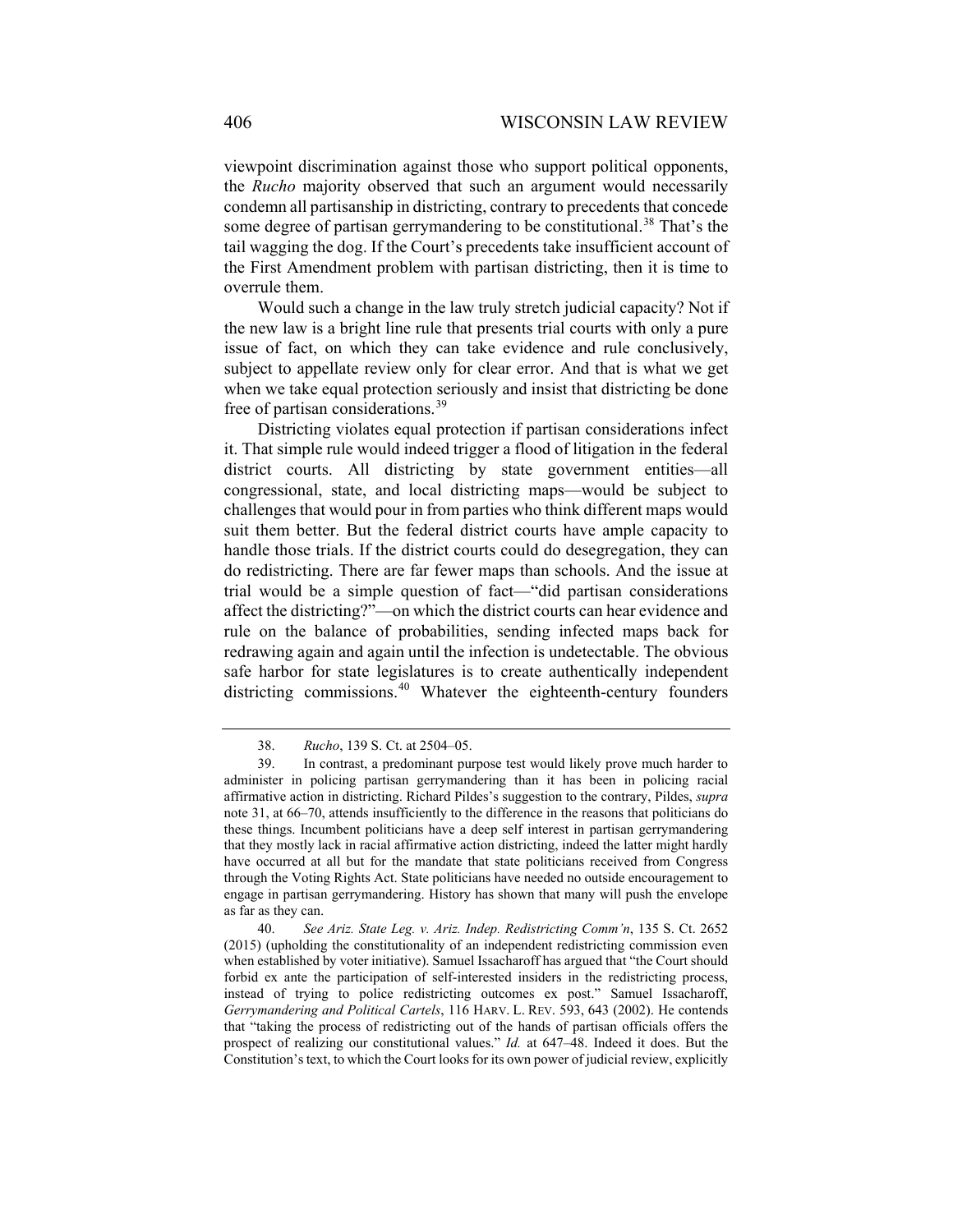viewpoint discrimination against those who support political opponents, the *Rucho* majority observed that such an argument would necessarily condemn all partisanship in districting, contrary to precedents that concede some degree of partisan gerrymandering to be constitutional.<sup>[38](#page-11-0)</sup> That's the tail wagging the dog. If the Court's precedents take insufficient account of the First Amendment problem with partisan districting, then it is time to overrule them.

Would such a change in the law truly stretch judicial capacity? Not if the new law is a bright line rule that presents trial courts with only a pure issue of fact, on which they can take evidence and rule conclusively, subject to appellate review only for clear error. And that is what we get when we take equal protection seriously and insist that districting be done free of partisan considerations.<sup>[39](#page-11-1)</sup>

Districting violates equal protection if partisan considerations infect it. That simple rule would indeed trigger a flood of litigation in the federal district courts. All districting by state government entities—all congressional, state, and local districting maps—would be subject to challenges that would pour in from parties who think different maps would suit them better. But the federal district courts have ample capacity to handle those trials. If the district courts could do desegregation, they can do redistricting. There are far fewer maps than schools. And the issue at trial would be a simple question of fact—"did partisan considerations affect the districting?"—on which the district courts can hear evidence and rule on the balance of probabilities, sending infected maps back for redrawing again and again until the infection is undetectable. The obvious safe harbor for state legislatures is to create authentically independent districting commissions.<sup>[40](#page-11-2)</sup> Whatever the eighteenth-century founders

<sup>38.</sup> *Rucho*, 139 S. Ct. at 2504–05.

<span id="page-11-1"></span><span id="page-11-0"></span><sup>39.</sup> In contrast, a predominant purpose test would likely prove much harder to administer in policing partisan gerrymandering than it has been in policing racial affirmative action in districting. Richard Pildes's suggestion to the contrary, Pildes, *supra* note [31,](#page-8-3) at 66–70, attends insufficiently to the difference in the reasons that politicians do these things. Incumbent politicians have a deep self interest in partisan gerrymandering that they mostly lack in racial affirmative action districting, indeed the latter might hardly have occurred at all but for the mandate that state politicians received from Congress through the Voting Rights Act. State politicians have needed no outside encouragement to engage in partisan gerrymandering. History has shown that many will push the envelope as far as they can.

<span id="page-11-2"></span><sup>40.</sup> *See Ariz. State Leg. v. Ariz. Indep. Redistricting Comm'n*, 135 S. Ct. 2652 (2015) (upholding the constitutionality of an independent redistricting commission even when established by voter initiative). Samuel Issacharoff has argued that "the Court should forbid ex ante the participation of self-interested insiders in the redistricting process, instead of trying to police redistricting outcomes ex post." Samuel Issacharoff, *Gerrymandering and Political Cartels*, 116 HARV. L. REV. 593, 643 (2002). He contends that "taking the process of redistricting out of the hands of partisan officials offers the prospect of realizing our constitutional values." *Id.* at 647–48. Indeed it does. But the Constitution's text, to which the Court looks for its own power of judicial review, explicitly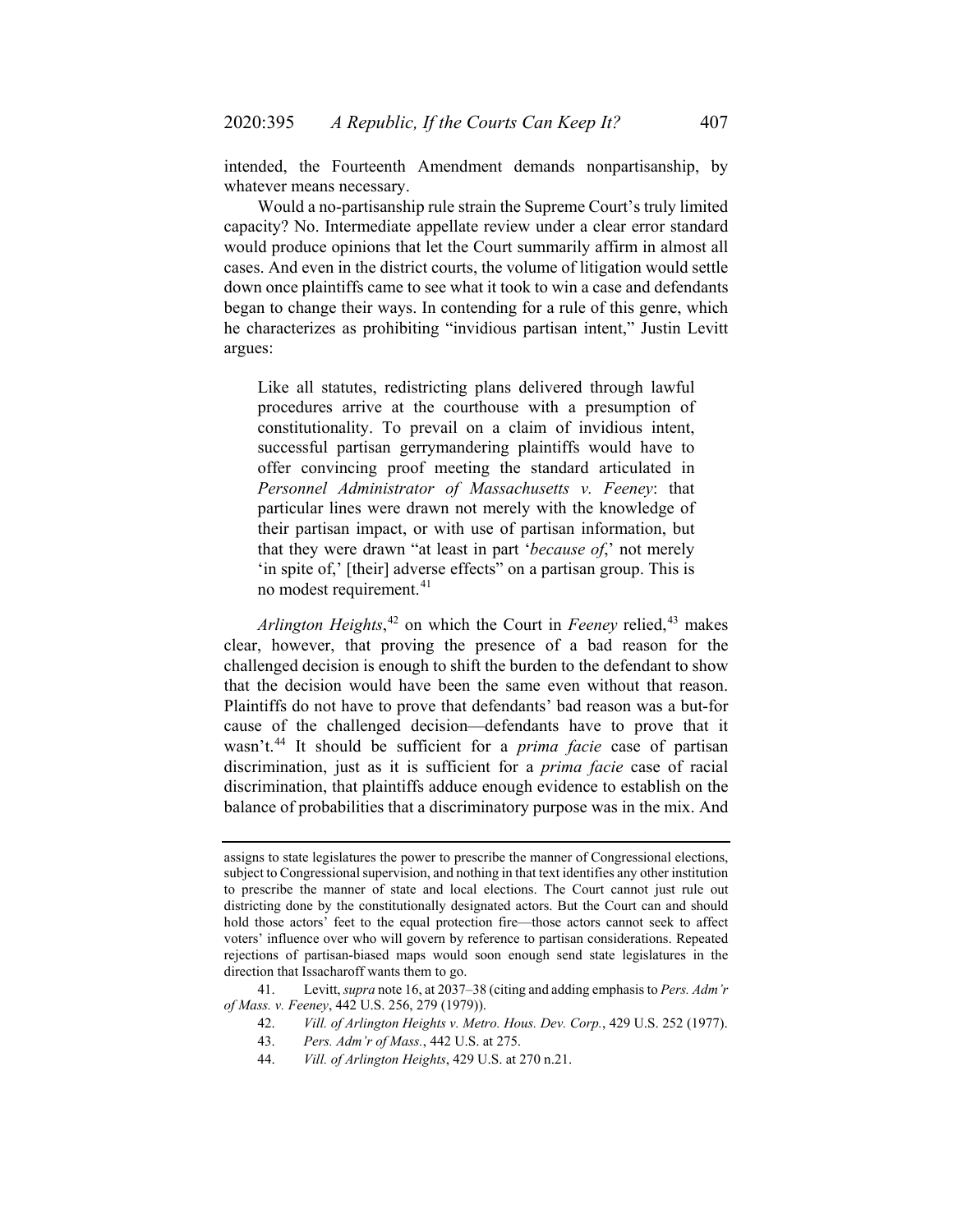intended, the Fourteenth Amendment demands nonpartisanship, by whatever means necessary.

Would a no-partisanship rule strain the Supreme Court's truly limited capacity? No. Intermediate appellate review under a clear error standard would produce opinions that let the Court summarily affirm in almost all cases. And even in the district courts, the volume of litigation would settle down once plaintiffs came to see what it took to win a case and defendants began to change their ways. In contending for a rule of this genre, which he characterizes as prohibiting "invidious partisan intent," Justin Levitt argues:

Like all statutes, redistricting plans delivered through lawful procedures arrive at the courthouse with a presumption of constitutionality. To prevail on a claim of invidious intent, successful partisan gerrymandering plaintiffs would have to offer convincing proof meeting the standard articulated in *Personnel Administrator of Massachusetts v. Feeney*: that particular lines were drawn not merely with the knowledge of their partisan impact, or with use of partisan information, but that they were drawn "at least in part '*because of*,' not merely 'in spite of,' [their] adverse effects" on a partisan group. This is no modest requirement.<sup>[41](#page-12-0)</sup>

Arlington Heights,<sup>[42](#page-12-1)</sup> on which the Court in *Feeney* relied,<sup>[43](#page-12-2)</sup> makes clear, however, that proving the presence of a bad reason for the challenged decision is enough to shift the burden to the defendant to show that the decision would have been the same even without that reason. Plaintiffs do not have to prove that defendants' bad reason was a but-for cause of the challenged decision—defendants have to prove that it wasn't.[44](#page-12-3) It should be sufficient for a *prima facie* case of partisan discrimination, just as it is sufficient for a *prima facie* case of racial discrimination, that plaintiffs adduce enough evidence to establish on the balance of probabilities that a discriminatory purpose was in the mix. And

44. *Vill. of Arlington Heights*, 429 U.S. at 270 n.21.

assigns to state legislatures the power to prescribe the manner of Congressional elections, subject to Congressional supervision, and nothing in that text identifies any other institution to prescribe the manner of state and local elections. The Court cannot just rule out districting done by the constitutionally designated actors. But the Court can and should hold those actors' feet to the equal protection fire—those actors cannot seek to affect voters' influence over who will govern by reference to partisan considerations. Repeated rejections of partisan-biased maps would soon enough send state legislatures in the direction that Issacharoff wants them to go.

<span id="page-12-3"></span><span id="page-12-2"></span><span id="page-12-1"></span><span id="page-12-0"></span><sup>41.</sup> Levitt, *supra* not[e 16,](#page-4-6) at 2037–38 (citing and adding emphasis to *Pers. Adm'r of Mass. v. Feeney*, 442 U.S. 256, 279 (1979)).

<sup>42.</sup> *Vill. of Arlington Heights v. Metro. Hous. Dev. Corp.*, 429 U.S. 252 (1977).

<sup>43.</sup> *Pers. Adm'r of Mass.*, 442 U.S. at 275.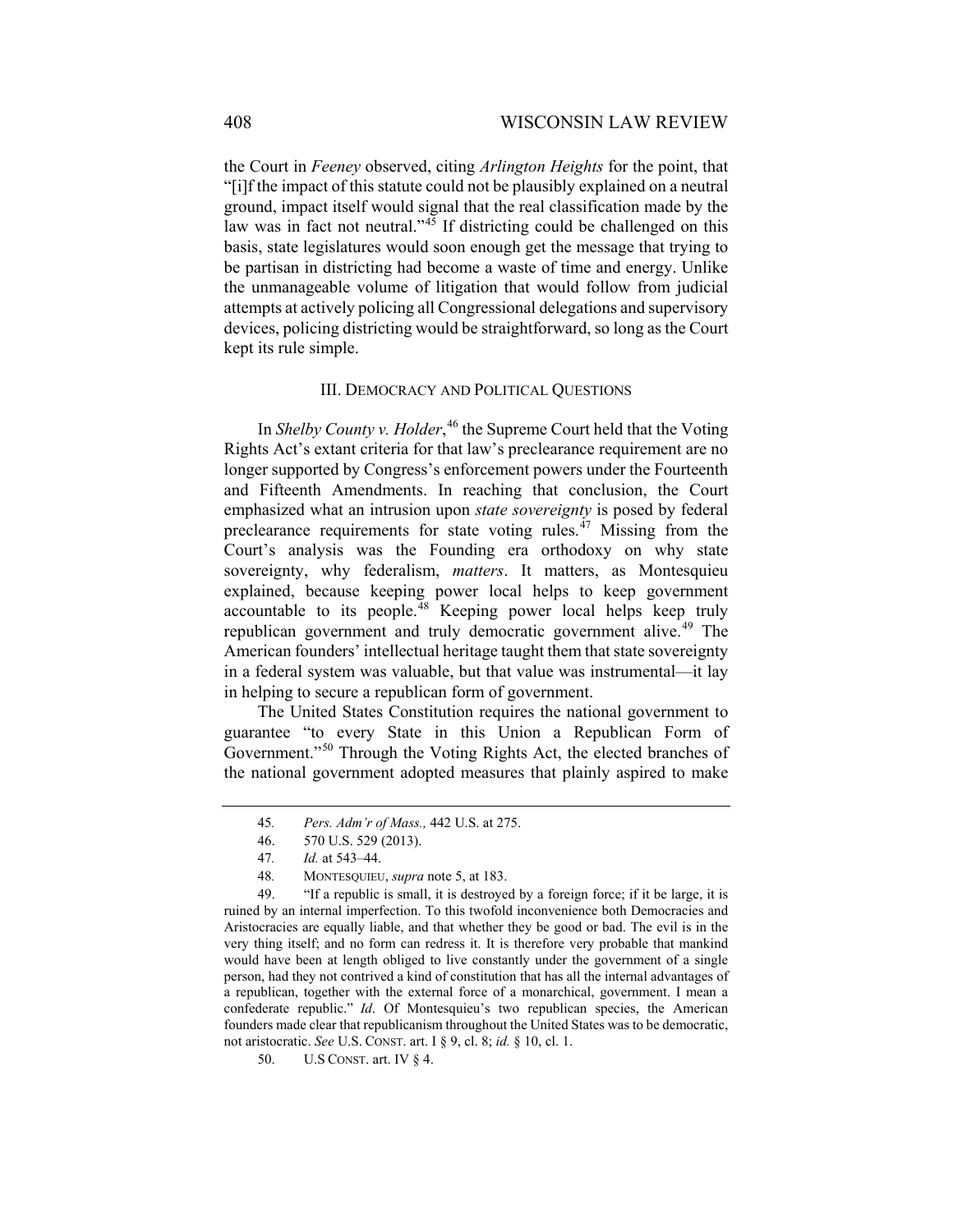the Court in *Feeney* observed, citing *Arlington Heights* for the point, that "[i]f the impact of this statute could not be plausibly explained on a neutral ground, impact itself would signal that the real classification made by the law was in fact not neutral."<sup>[45](#page-13-0)</sup> If districting could be challenged on this basis, state legislatures would soon enough get the message that trying to be partisan in districting had become a waste of time and energy. Unlike the unmanageable volume of litigation that would follow from judicial attempts at actively policing all Congressional delegations and supervisory devices, policing districting would be straightforward, so long as the Court kept its rule simple.

### III. DEMOCRACY AND POLITICAL QUESTIONS

In *Shelby County v. Holder*, [46](#page-13-1) the Supreme Court held that the Voting Rights Act's extant criteria for that law's preclearance requirement are no longer supported by Congress's enforcement powers under the Fourteenth and Fifteenth Amendments. In reaching that conclusion, the Court emphasized what an intrusion upon *state sovereignty* is posed by federal preclearance requirements for state voting rules.<sup>[47](#page-13-2)</sup> Missing from the Court's analysis was the Founding era orthodoxy on why state sovereignty, why federalism, *matters*. It matters, as Montesquieu explained, because keeping power local helps to keep government accountable to its people.[48](#page-13-3) Keeping power local helps keep truly republican government and truly democratic government alive.<sup>[49](#page-13-4)</sup> The American founders' intellectual heritage taught them that state sovereignty in a federal system was valuable, but that value was instrumental—it lay in helping to secure a republican form of government.

The United States Constitution requires the national government to guarantee "to every State in this Union a Republican Form of Government."[50](#page-13-5) Through the Voting Rights Act, the elected branches of the national government adopted measures that plainly aspired to make

<span id="page-13-4"></span><span id="page-13-3"></span><span id="page-13-2"></span><span id="page-13-1"></span><span id="page-13-0"></span>49. "If a republic is small, it is destroyed by a foreign force; if it be large, it is ruined by an internal imperfection. To this twofold inconvenience both Democracies and Aristocracies are equally liable, and that whether they be good or bad. The evil is in the very thing itself; and no form can redress it. It is therefore very probable that mankind would have been at length obliged to live constantly under the government of a single person, had they not contrived a kind of constitution that has all the internal advantages of a republican, together with the external force of a monarchical, government. I mean a confederate republic." *Id*. Of Montesquieu's two republican species, the American founders made clear that republicanism throughout the United States was to be democratic, not aristocratic. *See* U.S. CONST. art. I § 9, cl. 8; *id.* § 10, cl. 1.

<sup>45</sup>*. Pers. Adm'r of Mass.,* 442 U.S. at 275.

<sup>46.</sup> 570 U.S. 529 (2013).

<sup>47</sup>*. Id.* at 543–44.

<sup>48</sup>*.* MONTESQUIEU, *supra* not[e 5,](#page-2-3) at 183.

<span id="page-13-5"></span><sup>50.</sup> U.S CONST. art. IV § 4.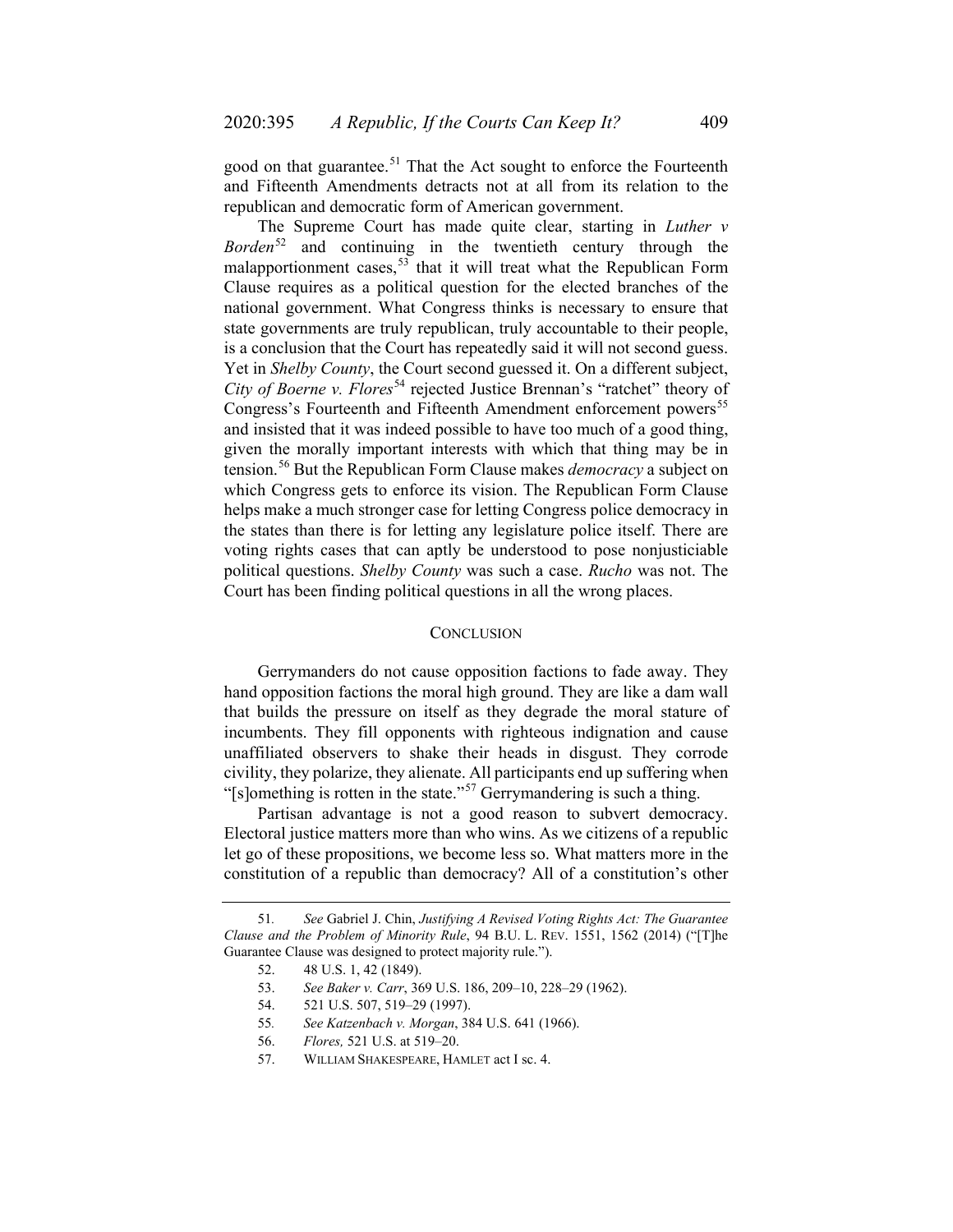good on that guarantee.<sup>[51](#page-14-0)</sup> That the Act sought to enforce the Fourteenth and Fifteenth Amendments detracts not at all from its relation to the republican and democratic form of American government.

The Supreme Court has made quite clear, starting in *Luther v Borden*[52](#page-14-1) and continuing in the twentieth century through the malapportionment cases,  $53$  that it will treat what the Republican Form Clause requires as a political question for the elected branches of the national government. What Congress thinks is necessary to ensure that state governments are truly republican, truly accountable to their people, is a conclusion that the Court has repeatedly said it will not second guess. Yet in *Shelby County*, the Court second guessed it. On a different subject, *City of Boerne v. Flores*<sup>[54](#page-14-3)</sup> rejected Justice Brennan's "ratchet" theory of Congress's Fourteenth and Fifteenth Amendment enforcement powers<sup>[55](#page-14-4)</sup> and insisted that it was indeed possible to have too much of a good thing, given the morally important interests with which that thing may be in tension.[56](#page-14-5) But the Republican Form Clause makes *democracy* a subject on which Congress gets to enforce its vision. The Republican Form Clause helps make a much stronger case for letting Congress police democracy in the states than there is for letting any legislature police itself. There are voting rights cases that can aptly be understood to pose nonjusticiable political questions. *Shelby County* was such a case. *Rucho* was not. The Court has been finding political questions in all the wrong places.

#### **CONCLUSION**

Gerrymanders do not cause opposition factions to fade away. They hand opposition factions the moral high ground. They are like a dam wall that builds the pressure on itself as they degrade the moral stature of incumbents. They fill opponents with righteous indignation and cause unaffiliated observers to shake their heads in disgust. They corrode civility, they polarize, they alienate. All participants end up suffering when "[s]omething is rotten in the state."<sup>[57](#page-14-6)</sup> Gerrymandering is such a thing."

Partisan advantage is not a good reason to subvert democracy. Electoral justice matters more than who wins. As we citizens of a republic let go of these propositions, we become less so. What matters more in the constitution of a republic than democracy? All of a constitution's other

<span id="page-14-5"></span><span id="page-14-4"></span><span id="page-14-3"></span><span id="page-14-2"></span><span id="page-14-1"></span><span id="page-14-0"></span><sup>51</sup>*. See* Gabriel J. Chin, *Justifying A Revised Voting Rights Act: The Guarantee Clause and the Problem of Minority Rule*, 94 B.U. L. REV. 1551, 1562 (2014) ("[T]he Guarantee Clause was designed to protect majority rule.").

<sup>52.</sup> 48 U.S. 1, 42 (1849).

<sup>53.</sup> *See Baker v. Carr*, 369 U.S. 186, 209–10, 228–29 (1962).

<sup>54.</sup> 521 U.S. 507, 519–29 (1997).

<sup>55</sup>*. See Katzenbach v. Morgan*, 384 U.S. 641 (1966).

<span id="page-14-6"></span><sup>56.</sup> *Flores,* 521 U.S. at 519–20.

<sup>57.</sup> WILLIAM SHAKESPEARE, HAMLET act I sc. 4.